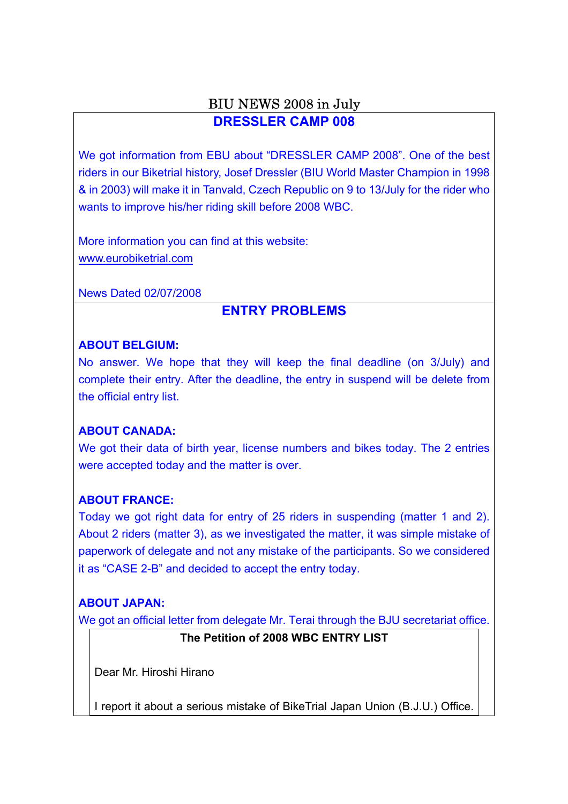## BIU NEWS 2008 in July **DRESSLER CAMP 008**

We got information from EBU about "DRESSLER CAMP 2008". One of the best riders in our Biketrial history, Josef Dressler (BIU World Master Champion in 1998 & in 2003) will make it in Tanvald, Czech Republic on 9 to 13/July for the rider who wants to improve his/her riding skill before 2008 WBC.

More information you can find at this website: www.eurobiketrial.com

News Dated 02/07/2008

# **ENTRY PROBLEMS**

#### **ABOUT BELGIUM:**

No answer. We hope that they will keep the final deadline (on 3/July) and complete their entry. After the deadline, the entry in suspend will be delete from the official entry list.

### **ABOUT CANADA:**

We got their data of birth year, license numbers and bikes today. The 2 entries were accepted today and the matter is over.

### **ABOUT FRANCE:**

Today we got right data for entry of 25 riders in suspending (matter 1 and 2). About 2 riders (matter 3), as we investigated the matter, it was simple mistake of paperwork of delegate and not any mistake of the participants. So we considered it as "CASE 2-B" and decided to accept the entry today.

## **ABOUT JAPAN:**

We got an official letter from delegate Mr. Terai through the BJU secretariat office.

### **The Petition of 2008 WBC ENTRY LIST**

Dear Mr. Hiroshi Hirano

I report it about a serious mistake of BikeTrial Japan Union (B.J.U.) Office.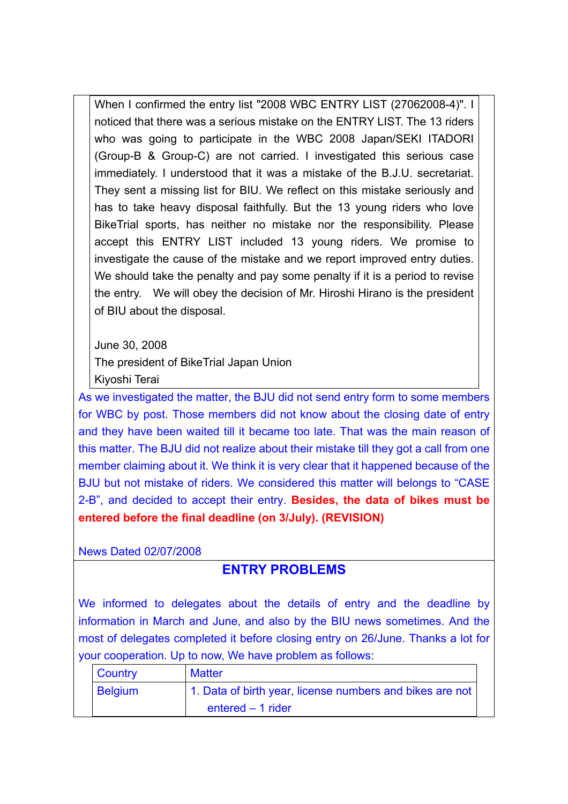When I confirmed the entry list "2008 WBC ENTRY LIST (27062008-4)". I noticed that there was a serious mistake on the ENTRY LIST. The 13 riders who was going to participate in the WBC 2008 Japan/SEKI ITADORI (Group-B & Group-C) are not carried. I investigated this serious case immediately. I understood that it was a mistake of the B.J.U. secretariat. They sent a missing list for BIU. We reflect on this mistake seriously and has to take heavy disposal faithfully. But the 13 young riders who love BikeTrial sports, has neither no mistake nor the responsibility. Please accept this ENTRY LIST included 13 young riders. We promise to investigate the cause of the mistake and we report improved entry duties. We should take the penalty and pay some penalty if it is a period to revise the entry. We will obey the decision of Mr. Hiroshi Hirano is the president of BIU about the disposal.

June 30, 2008

The president of BikeTrial Japan Union

Kiyoshi Terai

As we investigated the matter, the BJU did not send entry form to some members for WBC by post. Those members did not know about the closing date of entry and they have been waited till it became too late. That was the main reason of this matter. The BJU did not realize about their mistake till they got a call from one member claiming about it. We think it is very clear that it happened because of the BJU but not mistake of riders. We considered this matter will belongs to "CASE 2-B", and decided to accept their entry. **Besides, the data of bikes must be entered before the final deadline (on 3/July). (REVISION)**

News Dated 02/07/2008

## **ENTRY PROBLEMS**

We informed to delegates about the details of entry and the deadline by information in March and June, and also by the BIU news sometimes. And the most of delegates completed it before closing entry on 26/June. Thanks a lot for your cooperation. Up to now, We have problem as follows:

| Country        | <b>Matter</b>                                            |  |
|----------------|----------------------------------------------------------|--|
| <b>Belgium</b> | 1. Data of birth year, license numbers and bikes are not |  |
|                | entered $-1$ rider                                       |  |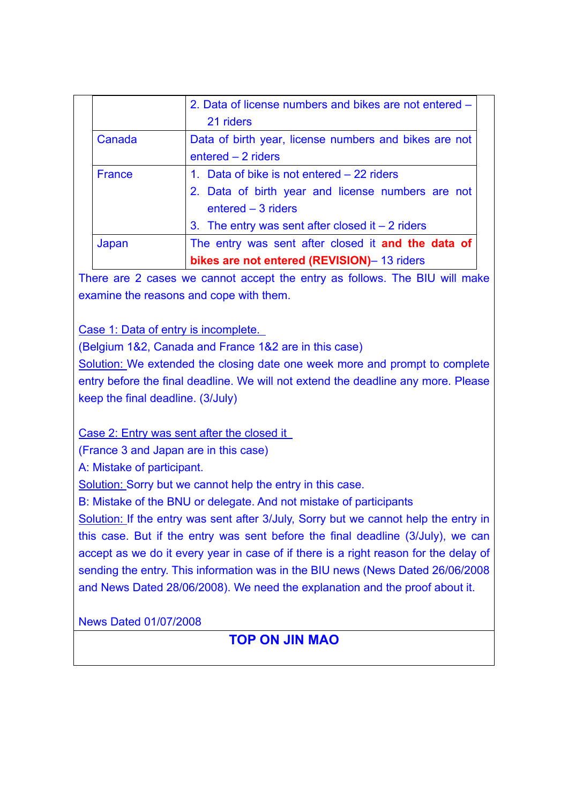|        | 2. Data of license numbers and bikes are not entered - |
|--------|--------------------------------------------------------|
|        | 21 riders                                              |
| Canada | Data of birth year, license numbers and bikes are not  |
|        | $entered - 2$ riders                                   |
| France | 1. Data of bike is not entered - 22 riders             |
|        | 2. Data of birth year and license numbers are not      |
|        | $entered - 3$ riders                                   |
|        | 3. The entry was sent after closed it $-2$ riders      |
| Japan  | The entry was sent after closed it and the data of     |
|        | bikes are not entered (REVISION)- 13 riders            |

There are 2 cases we cannot accept the entry as follows. The BIU will make examine the reasons and cope with them.

Case 1: Data of entry is incomplete.

(Belgium 1&2, Canada and France 1&2 are in this case)

Solution: We extended the closing date one week more and prompt to complete entry before the final deadline. We will not extend the deadline any more. Please keep the final deadline. (3/July)

Case 2: Entry was sent after the closed it

(France 3 and Japan are in this case)

A: Mistake of participant.

Solution: Sorry but we cannot help the entry in this case.

B: Mistake of the BNU or delegate. And not mistake of participants

Solution: If the entry was sent after 3/July, Sorry but we cannot help the entry in this case. But if the entry was sent before the final deadline (3/July), we can accept as we do it every year in case of if there is a right reason for the delay of sending the entry. This information was in the BIU news (News Dated 26/06/2008 and News Dated 28/06/2008). We need the explanation and the proof about it.

News Dated 01/07/2008

# **TOP ON JIN MAO**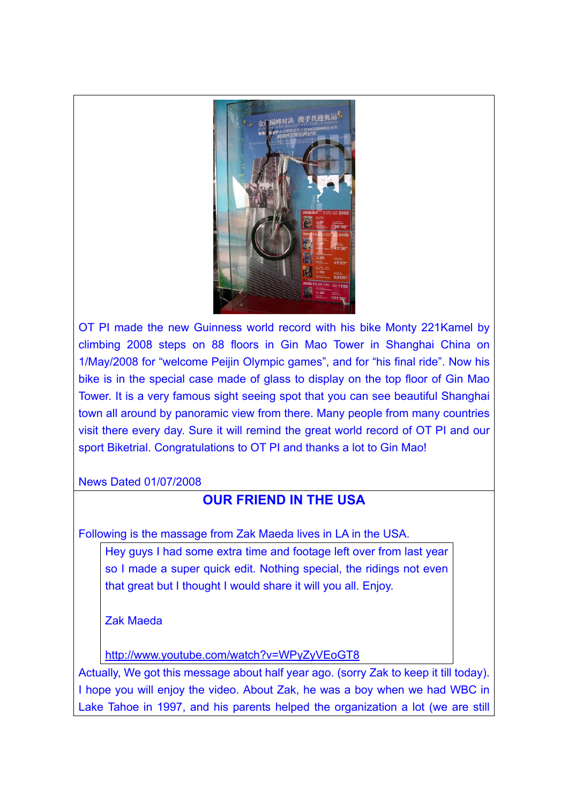

OT PI made the new Guinness world record with his bike Monty 221Kamel by climbing 2008 steps on 88 floors in Gin Mao Tower in Shanghai China on 1/May/2008 for "welcome Peijin Olympic games", and for "his final ride". Now his bike is in the special case made of glass to display on the top floor of Gin Mao Tower. It is a very famous sight seeing spot that you can see beautiful Shanghai town all around by panoramic view from there. Many people from many countries visit there every day. Sure it will remind the great world record of OT PI and our sport Biketrial. Congratulations to OT PI and thanks a lot to Gin Mao!

News Dated 01/07/2008

# **OUR FRIEND IN THE USA**

Following is the massage from Zak Maeda lives in LA in the USA.

Hey guys I had some extra time and footage left over from last year so I made a super quick edit. Nothing special, the ridings not even that great but I thought I would share it will you all. Enjoy.

Zak Maeda

http://www.youtube.com/watch?v=WPyZyVEoGT8

Actually, We got this message about half year ago. (sorry Zak to keep it till today). I hope you will enjoy the video. About Zak, he was a boy when we had WBC in Lake Tahoe in 1997, and his parents helped the organization a lot (we are still